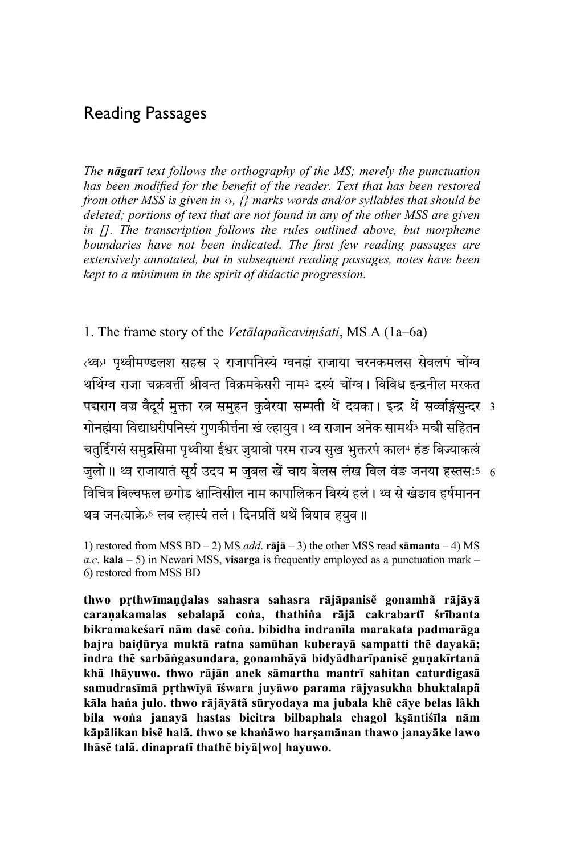# Reading Passages

*The nāgarī text follows the orthography of the MS; merely the punctuation has been modified for the benefit of the reader. Text that has been restored from other MSS is given in*  $\circ$ *, {} marks words and/or syllables that should be deleted; portions of text that are not found in any of the other MSS are given in []. The transcription follows the rules outlined above, but morpheme boundaries have not been indicated. The first few reading passages are extensively annotated, but in subsequent reading passages, notes have been kept to a minimum in the spirit of didactic progression.* 

1. The frame story of the *Vetālapañcaviṃśati*, MS A (1a–6a)

पद्मराग वज्र वैदूर्य मुक्ता रत्न समुहन कुबेरया सम्पती थे दयका। इन्द्र थे सव्वोङ्गसुन्दर 3 जुलो॥ थ्व राजायात सूर्य उदय म जुबल खे चाय बेलस लख बिल वङ जनया हस्तसः5 6 ‹�›1 पृ�ीम�लश सहस ז राजापिन�ं �नहं राजाया चरनकमलस सेवलपं चों� थथिंग्व राजा चक्रवर्त्ती श्रीवन्त विक्रमकेसरी नाम<sup>2</sup> दस्यं चोंग्व। विविध इन्द्रनील मरकत गोनह्मंया विद्याधरीपनिस्यं गुणकीर्त्तना खं ल्हायुव । थ्व राजान अनेक सामर्थ<sup>3</sup> मन्त्री सहितन चतुर्दिगसं समुद्रसिमा पृथ्वीया ईश्वर जुयावो परम राज्य सुख भुक्तरपं काल4 हंङ बिज्याकत्वं विचित्र बिल्वफल छगोड क्षान्तिसील नाम कापालिकन बिस्यं हलं। थ्व से खंडाव हर्षमानन थव जनत्याके›6 लव ल्हास्यं तलं । दिनप्रतिं थर्थं बियाव हयुव ॥

1) restored from MSS BD – 2) MS *add*. **rājā** – 3) the other MSS read **sāmanta** – 4) MS *a.c*. **kala** – 5) in Newari MSS, **visarga** is frequently employed as a punctuation mark – 6) restored from MSS BD

**thwo pṛthwīmaṇḍalas sahasra sahasra rājāpanisẽ gonamhã rājāyā caraṇakamalas sebalapã coṅa, thathiṅa rājā cakrabartī śrībanta bikramakeśarī nām dasẽ coṅa. bibidha indranīla marakata padmarāga bajra baiḍūrya muktā ratna samūhan kuberayā sampatti thẽ dayakā; indra thẽ sarbāṅgasundara, gonamhãyā bidyādharīpanisẽ guṇakīrtanā khã lhāyuwo. thwo rājān anek sāmartha mantrī sahitan caturdigasã samudrasīmā pṛthwīyā īśwara juyāwo parama rājyasukha bhuktalapã kāla haṅa julo. thwo rājāyātã sūryodaya ma jubala khẽ cāye belas lãkh bila woṅa janayā hastas bicitra bilbaphala chagol kṣāntiśīla nām kāpālikan bisẽ halã. thwo se khaṅāwo harṣamānan thawo janayāke lawo lhāsẽ talã. dinapratĩ thathẽ biyā[wo] hayuwo.**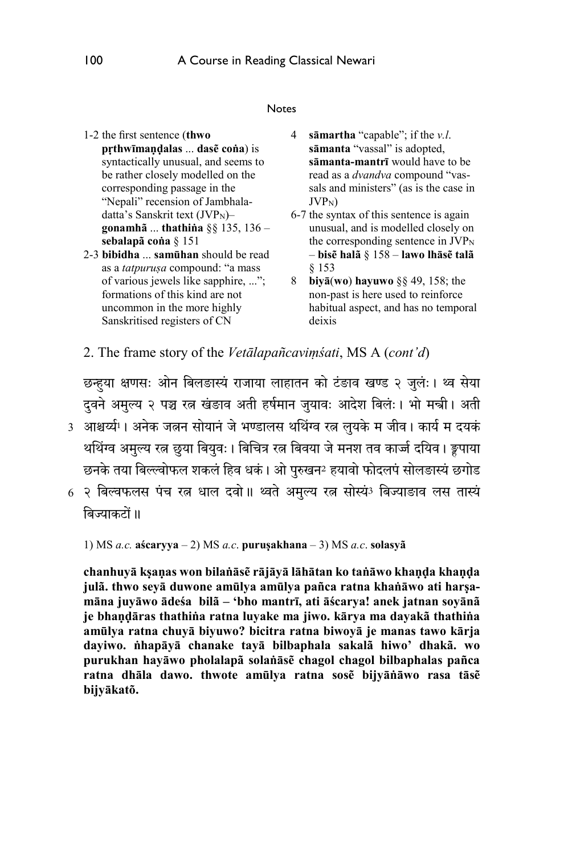#### Notes

- 1-2 the first sentence (**thwo pṛthwīmaṇḍalas** ... **dasẽ coṅa**) is syntactically unusual, and seems to be rather closely modelled on the corresponding passage in the "Nepali" recension of Jambhaladatta's Sanskrit text  $(JVP<sub>N</sub>)$ **gonamhã** ... **thathiṅa** §§ 135, 136 – **sebalapã coṅa** § 151
- 2-3 **bibidha** ... **samūhan** should be read as a *tatpuruṣa* compound: "a mass of various jewels like sapphire, ..."; formations of this kind are not uncommon in the more highly Sanskritised registers of CN
- 4 **sāmartha** "capable"; if the *v.l*. **sāmanta** "vassal" is adopted, **sāmanta-mantrī** would have to be read as a *dvandva* compound "vassals and ministers" (as is the case in JVPN)
- 6-7 the syntax of this sentence is again unusual, and is modelled closely on the corresponding sentence in  $JVP<sub>N</sub>$ – **bisẽ halã** § 158 – **lawo lhāsẽ talã** § 153
- 8 **biyā**(**wo**) **hayuwo** §§ 49, 158; the non-past is here used to reinforce habitual aspect, and has no temporal deixis
- 2. The frame story of the *Vetālapañcaviṃśati*, MS A (*cont'd*)

छन्हुया क्षणसः अनि बिलङास्य राजाया लाहातन को टंङाव खण्ड २ जुलः। थ्व सेया दवने अमुल्य २ पञ्च रत्न खंडाव अती हर्षमान जुयावः आदेश बिलंः। भो मन्त्री। अती

- 3) आश्चर्य्यं!। अनेक जलन सोयानं जे भण्डालस थर्थिग्व रत्न लुयके म जीव। कार्य म दयकं थथिंग्व अमुल्य रत्न छुया बियुवः । बिचित्र रत्न बिवया जे मनश तव कार्ज्ज दयिव । ङ्वपाया छनके तया बिल्ल्वोफल शकलं हिव धकं । ओ पुरुखन2 हयावो फोदलपं सोलङास्यं छगोड
- 6 २ बिल्वफलस पंच रत्न धाल दवो॥ थ्वते अमुल्य रत्न सोस्यं3 बिज्याङाव लस तास्य बिज्याकटों ॥

1) MS *a.c.* **aścaryya** – 2) MS *a.c*. **puruṣakhana** – 3) MS *a.c*. **solasyã**

**chanhuyā kṣaṇas won bilaṅāsẽ rājāyā lāhātan ko taṅāwo khaṇḍa khaṇḍa julã. thwo seyā duwone amūlya amūlya pañca ratna khaṅāwo ati harṣamāna juyāwo ādeśa bilã – 'bho mantrī, ati āścarya! anek jatnan soyānã je bhaṇḍāras thathiṅa ratna luyake ma jiwo. kārya ma dayakã thathiṅa amūlya ratna chuyā biyuwo? bicitra ratna biwoyā je manas tawo kārja dayiwo. ṅhapāyā chanake tayā bilbaphala sakalã hiwo' dhakã. wo purukhan hayāwo pholalapã solaṅāsẽ chagol chagol bilbaphalas pañca ratna dhāla dawo. thwote amūlya ratna sosẽ bijyāṅāwo rasa tāsẽ bijyākatõ.**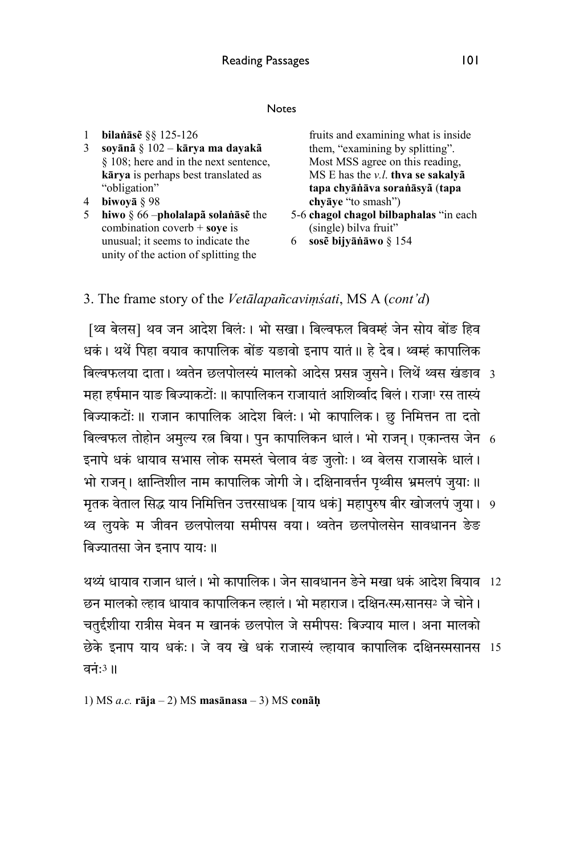#### Notes

- 1 **bilaṅāsẽ** §§ 125-126
- 3 **soyānã** § 102 **kārya ma dayakã** § 108; here and in the next sentence, **kārya** is perhaps best translated as "obligation"
- 4 **biwoyā** § 98
- 5 **hiwo** § 66 –**pholalapã solaṅāsẽ** the combination coverb + **soye** is unusual; it seems to indicate the unity of the action of splitting the

fruits and examining what is inside them, "examining by splitting". Most MSS agree on this reading, MS E has the *v.l*. **thva se sakalyã tapa chyāṅāva soraṅāsyã** (**tapa chyāye** "to smash")

- 5-6 **chagol chagol bilbaphalas** "in each (single) bilva fruit"
- 6 **sosẽ bijyāṅāwo** § 154

## 3. The frame story of the *Vetālapañcaviṃśati*, MS A (*cont'd*)

बिल्वफलया दाता। थ्वर्तन छलपोलस्य मालको आदेस प्रसन्न जुसने। लिथै थ्वस खंडाव 3 बिल्वफल तोहोन अमुल्य रत्न बिया। पुन कापालिकन धालं। भो राजन्। एकान्तस जेन 6 मृतक वेताल सिद्ध याय निर्मितिन उत्तरसाधक [याय धकं] महापुरुष बीर खोजलपं जुया। 9 [थ्व बेलस] थव जन आदेश बिलं:। भो सखा। बिल्वफल बिवम्हं जेन सोय बोंङ हिव धकं । थथें पिहा वयाव कापालिक बोंङ यङावो इनाप यातं ॥ हे देब । थ्वम्हं कापालिक महा हर्षमान याङ बिज्याकटोंः ॥ कापालिकन राजायातं आशिर्व्वाद बिलं । राजा<sup>1</sup> रस तास्यं बिज्याकटोंः ॥ राजान कापालिक आदेश बिलंः । भो कापालिक । छु निमित्तन ता दतो इनापे धकं धायाव सभास लोक समस्तं चेलाव वंङ जुलोः । थ्व बेलस राजासके धालं । भो राजन। क्षान्तिशील नाम कापालिक जोगी जे। दक्षिनावर्त्तन पृथ्वीस भ्रमलपं जुयाः॥ थ्व लुयके म जीवन छलपोलया समीपस वया। थ्वतेन छलपोलसेन सावधानन ङेङ बिज्यातसा जेन इनाप यायः ॥

थथ्यं धायाव राजान धालं । भो कापालिक । जेन सावधानन ङेने मखा धकं आदेश बियाव 12 छेके इनाप याय धकं:। जे वय खे धकं राजास्यं ल्हायाव कापालिक दक्षिनस्मसानस 15 छन मालको ल्हाव धायाव कापालिकन ल्हालं। भो महाराज। दक्षिन‹स्म›सानस<sup>2</sup> जे चोने। चतुर्दशीया रात्रीस मेवन म खानकं छलपोल जे समीपसः बिज्याय माल । अना मालको वनं $:3$ ॥

1) MS *a.c.* **rāja** – 2) MS **masānasa** – 3) MS **conãḥ**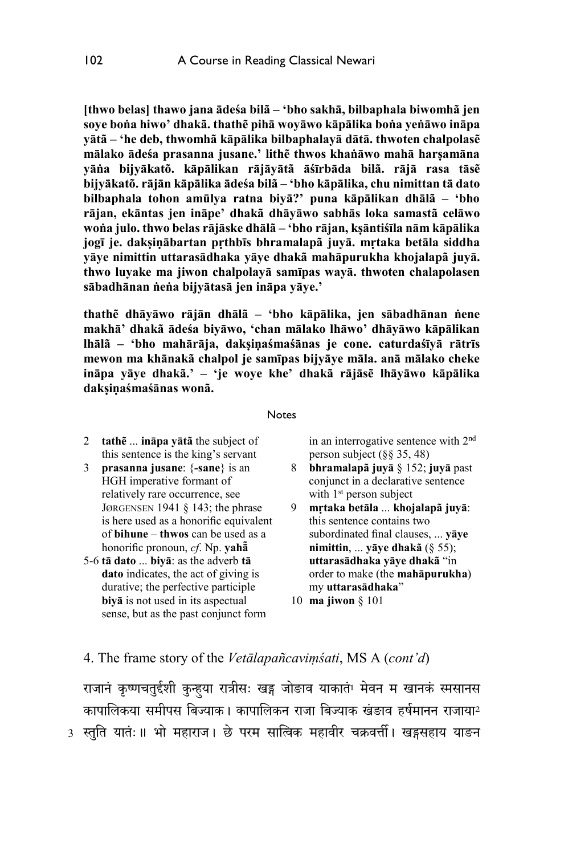**[thwo belas] thawo jana ādeśa bilã – 'bho sakhā, bilbaphala biwomhã jen soye boṅa hiwo' dhakã. thathẽ pihā woyāwo kāpālika boṅa yeṅāwo ināpa yātã – 'he deb, thwomhã kāpālika bilbaphalayā dātā. thwoten chalpolasẽ mālako ādeśa prasanna jusane.' lithẽ thwos khaṅāwo mahā harṣamāna yāṅa bijyākatõ. kāpālikan rājāyātã āśīrbāda bilã. rājā rasa tāsẽ bijyākatõ. rājān kāpālika ādeśa bilã – 'bho kāpālika, chu nimittan tā dato bilbaphala tohon amūlya ratna biyā?' puna kāpālikan dhālã – 'bho rājan, ekāntas jen ināpe' dhakã dhāyāwo sabhās loka samastã celāwo woṅa julo. thwo belas rājāske dhālã – 'bho rājan, kṣāntiśīla nām kāpālika jogī je. dakṣiṇābartan pṛthbīs bhramalapã juyā. mṛtaka betāla siddha yāye nimittin uttarasādhaka yāye dhakã mahāpurukha khojalapã juyā. thwo luyake ma jiwon chalpolayā samīpas wayā. thwoten chalapolasen sābadhānan ṅeṅa bijyātasā jen ināpa yāye.'** 

**thathẽ dhāyāwo rājān dhālã – 'bho kāpālika, jen sābadhānan ṅene makhā' dhakã ādeśa biyāwo, 'chan mālako lhāwo' dhāyāwo kāpālikan lhālã – 'bho mahārāja, dakṣiṇaśmaśānas je cone. caturdaśīyā rātrīs mewon ma khānakã chalpol je samīpas bijyāye māla. anā mālako cheke ināpa yāye dhakã.' – 'je woye khe' dhakã rājāsẽ lhāyāwo kāpālika dakṣiṇaśmaśānas wonã.** 

#### **Notes**

- 2 **tathẽ** ... **ināpa yātã** the subject of this sentence is the king's servant
- 3 **prasanna jusane**: {**-sane**} is an HGH imperative formant of relatively rare occurrence, see JØRGENSEN 1941 § 143; the phrase is here used as a honorific equivalent of **bihune** – **thwos** can be used as a honorific pronoun, *cf*. Np. **yahā̃**
- 5-6 **tā dato** ... **biyā**: as the adverb **tā dato** indicates, the act of giving is durative; the perfective participle **biyā** is not used in its aspectual sense, but as the past conjunct form

in an interrogative sentence with 2nd person subject (§§ 35, 48)

- 8 **bhramalapã juyā** § 152; **juyā** past conjunct in a declarative sentence with 1<sup>st</sup> person subject
- 9 **mṛtaka betāla** ... **khojalapã juyā**: this sentence contains two subordinated final clauses, ... **yāye nimittin**, ... **yāye dhakã** (§ 55); **uttarasādhaka yāye dhakã** "in order to make (the **mahāpurukha**) my **uttarasādhaka**"
- 10 **ma jiwon** § 101

### 4. The frame story of the *Vetālapañcaviṃśati*, MS A (*cont'd*)

3 स्तुति यातः॥ भो महाराज। छे परम सालिक महावीर चक्रवत्ती। खड्गसहाय याङन राजानं कृष्णचतुर्दशी कुन्हुया रात्रीसः खड्ग जोङाव याकातं<sup>1</sup> मेवन म खानकं स्मसानस कापालिकया समीपस बिज्याक। कापालिकन राजा बिज्याक खंडाव हर्षमानन राजाया2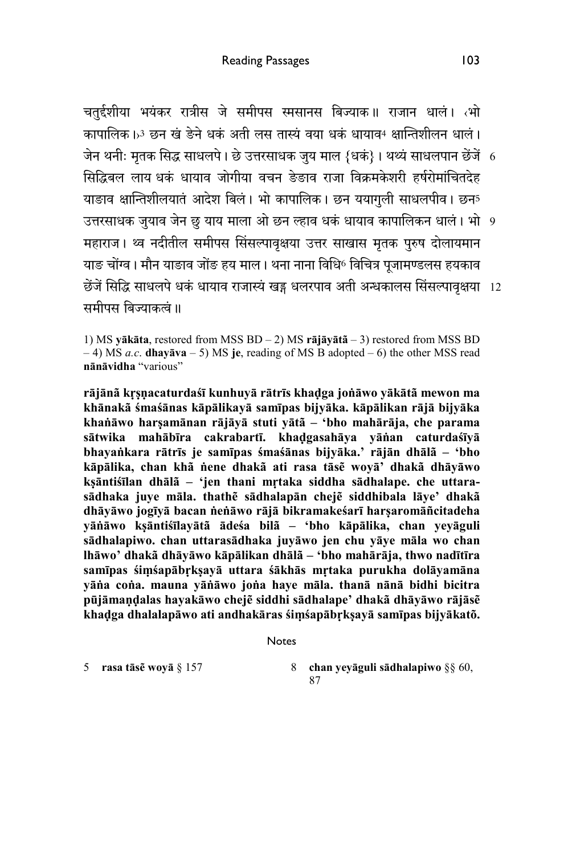जेन थर्नीः मृतक सिद्ध साधलपे । छे उत्तरसाधक जुय माल {धक} । थथ्य साधलपान छेजे 6 उत्तरसाधक जुयाव जेन छु याय माला ओ छन ल्हाव धकं धायाव कापालिकन धालं । भो 9 छेंजें सिद्धि साधलपे धकं धायाव राजास्यं खड्ग धलरपाव अती अन्धकालस सिसल्पावृक्षया 12 चतुर्दशीया भयंकर रात्रीस जे समीपस स्मसानस बिज्याक॥ राजान धालं। तभो कापालिक। ॐ छन खं ङेने धकं अती लस तास्यं वया धकं धायाव4 क्षान्तिशीलन धालं। �सिदबल लाय धकं धायाव जोगीया वचन ङेङाव राजा िवकमके शरी हषररोमां�चतदेह याङाव क्षान्तिशीलयातं आदेश बिलं। भो कापालिक। छन ययागुली साधलपीव। छन5 महाराज। थ्व नदीतील समीपस सिसल्पावृक्षया उत्तर साखास मृतक पुरुष दोलायमान याङ चोंग्व। मौन याङाव जोंङ हय माल। थना नाना विधि® विचित्र पजामण्डलस हयकाव समीपस बिज्याकत्वं ॥

1) MS **yākāta**, restored from MSS BD – 2) MS **rājāyātã** – 3) restored from MSS BD – 4) MS *a.c*. **dhayāva** – 5) MS **je**, reading of MS B adopted – 6) the other MSS read **nānāvidha** "various"

**rājānã kṛṣṇacaturdaśī kunhuyā rātrīs khaḍga joṅāwo yākātã mewon ma khānakã śmaśānas kāpālikayā samīpas bijyāka. kāpālikan rājā bijyāka khaṅāwo harṣamānan rājāyā stuti yātã – 'bho mahārāja, che parama sātwika mahābīra cakrabartī. khaḍgasahāya yāṅan caturdaśīyā bhayaṅkara rātrīs je samīpas śmaśānas bijyāka.' rājān dhālã – 'bho kāpālika, chan khã ṅene dhakã ati rasa tāsẽ woyā' dhakã dhāyāwo kṣāntiśīlan dhālã – 'jen thani mṛtaka siddha sādhalape. che uttarasādhaka juye māla. thathẽ sādhalapān chejẽ siddhibala lāye' dhakã dhāyāwo jogīyā bacan ṅeṅāwo rājā bikramakeśarī harṣaromāñcitadeha yāṅāwo kṣāntiśīlayātã ādeśa bilã – 'bho kāpālika, chan yeyāguli sādhalapiwo. chan uttarasādhaka juyāwo jen chu yāye māla wo chan lhāwo' dhakã dhāyāwo kāpālikan dhālã – 'bho mahārāja, thwo nadītīra samīpas śiṃśapābṛkṣayā uttara śākhās mṛtaka purukha dolāyamāna yāṅa coṅa. mauna yāṅāwo joṅa haye māla. thanā nānā bidhi bicitra pūjāmaṇḍalas hayakāwo chejẽ siddhi sādhalape' dhakã dhāyāwo rājāsẽ khaḍga dhalalapāwo ati andhakāras śiṃśapābṛkṣayā samīpas bijyākatõ.** 

```
Notes
```
5 **rasa tāsẽ woyā** § 157 8 **chan yeyāguli sādhalapiwo** §§ 60, 87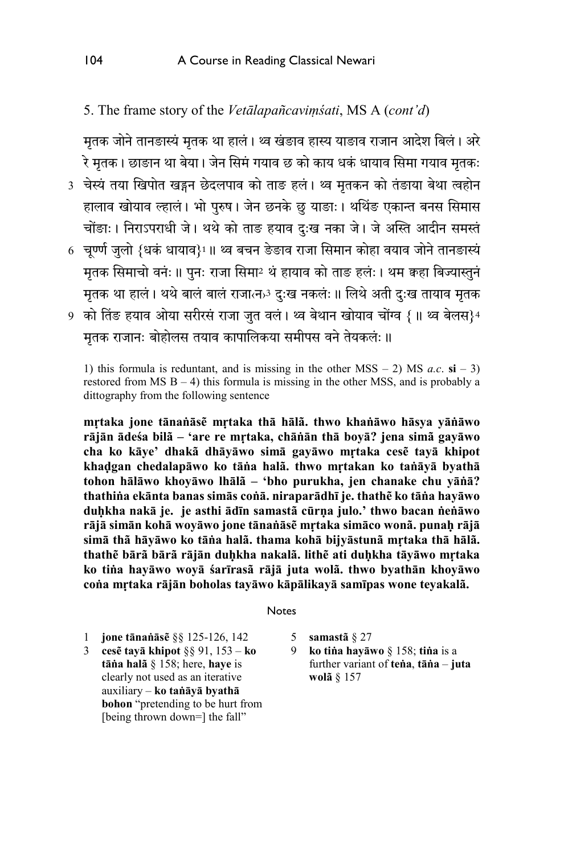## 5. The frame story of the *Vetālapañcaviṃśati*, MS A (*cont'd*)

मृतक जोने तानङास्यं मृतक था हालं। थ्व खंडाव हास्य याङाव राजान आदेश बिलं। अरे रे मृतक। छाङान था बेया। जेन सिमं गयाव छ को काय धकं धायाव सिमा गयाव मृतकः

- 3) चेस्य तया खिपोत खड्गन छेदलपाव को ताङ हलं । थ्व मृतकन को तङाया बेथा त्वहोन हालाव खोयाव ल्हालं। भो पुरुष। जेन छनके छु याङाः। थथिङ एकान्त बनस सिमास चोंङाः । निराऽपराधी जे । थथे को ताङ हयाव दुःख नका जे । जे अस्ति आदीन समस्तं
- 6 चूण्णे जुलो {धक धायाव}1॥ थ्व बचन ङेङाव राजा सिमान कोहा वयाव जोने तानङास्य मृतक सिमाचो वनंः ॥ पनः राजा सिमा<sup>2</sup> थं हायाव को ताङ हलंः । थम कहा बिज्यास्तुनं मृतक था हालं। थथे बालं बालं राजात्न<sup>3</sup> दुःख नकलंः ॥ लिथे अती दुःख तायाव मृतक
- 9) को तिङ हयाव ओया सरीरसं राजा जुत वलं । थ्व बेथान खोयाव चोंग्व { ॥ थ्व बेलस}4 मतक राजानः बोहोलस तयाव कापालिकया समीपस वने तेयकलंः ॥

1) this formula is reduntant, and is missing in the other  $MSS - 2$ )  $MS$  *a.c.*  $si - 3$ ) restored from  $MS B - 4$ ) this formula is missing in the other MSS, and is probably a dittography from the following sentence

**mṛtaka jone tānaṅāsẽ mṛtaka thā hālã. thwo khaṅāwo hāsya yāṅāwo rājān ādeśa bilã – 'are re mṛtaka, chāṅān thā boyā? jena simã gayāwo cha ko kāye' dhakã dhāyāwo simā gayāwo mṛtaka cesẽ tayā khipot khaḍgan chedalapāwo ko tāṅa halã. thwo mṛtakan ko taṅāyā byathā tohon hālāwo khoyāwo lhālã – 'bho purukha, jen chanake chu yāṅā? thathiṅa ekānta banas simās coṅā. niraparādhī je. thathẽ ko tāṅa hayāwo duḥkha nakā je. je asthi ādīn samastã cūrṇa julo.' thwo bacan ṅeṅāwo rājā simān kohā woyāwo jone tānaṅāsẽ mṛtaka simāco wonã. punaḥ rājā simā thã hāyāwo ko tāṅa halã. thama kohā bijyāstunã mṛtaka thā hālã. thathẽ bārã bārã rājān duḥkha nakalã. lithẽ ati duḥkha tāyāwo mṛtaka ko tiṅa hayāwo woyā śarīrasã rājā juta wolã. thwo byathān khoyāwo coṅa mṛtaka rājān boholas tayāwo kāpālikayā samīpas wone teyakalã.** 

#### **Notes**

- 1 **jone tānaṅāsẽ** §§ 125-126, 142
- 3 **cesẽ tayā khipot** §§ 91, 153 **ko tāṅa halã** § 158; here, **haye** is clearly not used as an iterative auxiliary – **ko taṅāyā byathā bohon** "pretending to be hurt from [being thrown down=] the fall"
- 5 **samastã** § 27
- 9 **ko tiṅa hayāwo** § 158; **tiṅa** is a further variant of **teṅa**, **tāṅa** – **juta wolã** § 157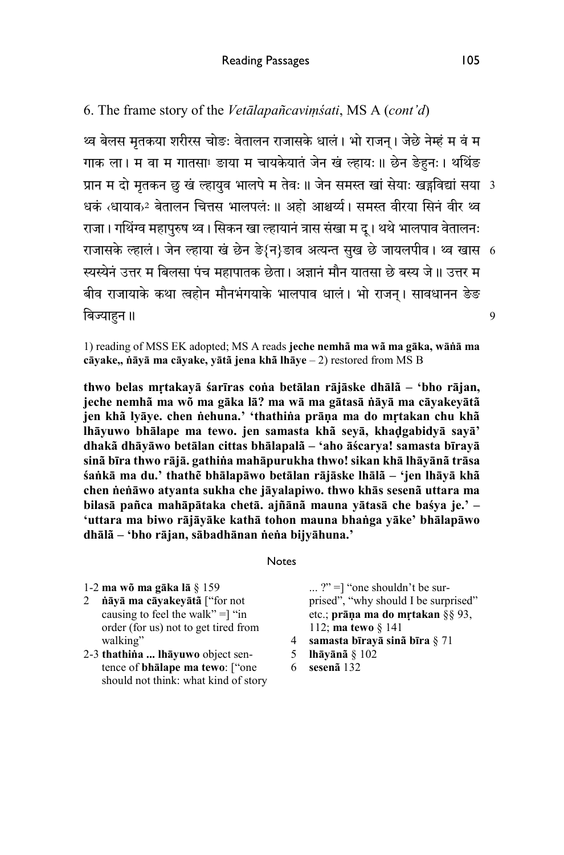6. The frame story of the *Vetālapañcaviṃśati*, MS A (*cont'd*)

प्रान म दो मृतकन छु खं ल्हायुव भालपे म तेवः ॥ जेन समस्त खां सेयाः खड्गविद्यां सया 3 राजासके ल्हाल | जेन ल्हाया ख छेन ङे{न}ङाव अत्यन्त सुख छे जायलपीव | थ्व खास 6 थ्व बेलस मृतकया शरीरस चोङः वेतालन राजासके धालं । भो राजन । जेछे नेम्हं म वं म गाक ला। म वा म गातसा! ङाया म चायकेयातं जेन खं ल्हायः॥ छेन ङेहुनः। थोथेङ धकं ‹धायाव›<sup>2</sup> बेतालन चित्तस भालपलंः॥ अहो आश्चर्य। समस्त वीरया सिनं वीर थ्व राजा। गथिंग्व महापुरुष थ्व। सिकन खा ल्हायानं त्रास संखा म द । थथे भालपाव वेतालनः <u>स्यस्येनं उत्तर म बिलसा पंच महापातक छेता। अज्ञानं मौन यातसा छे बस्य जे।। उत्तर म</u> बीव राजायाके कथा त्वहोन मौनभंगयाके भालपाव धालं । भो राजन । सावधानन ङेङ बिज्याहन ॥

1) reading of MSS EK adopted; MS A reads **jeche nemhã ma wã ma gāka, wāṅā ma cāyake,, ṅāyā ma cāyake, yātã jena khã lhāye** – 2) restored from MS B

**thwo belas mṛtakayā śarīras coṅa betālan rājāske dhālã – 'bho rājan, jeche nemhã ma wõ ma gāka lā? ma wā ma gātasā ṅāyā ma cāyakeyātã jen khã lyāye. chen ṅehuna.' 'thathiṅa prāṇa ma do mṛtakan chu khã lhāyuwo bhālape ma tewo. jen samasta khã seyā, khaḍgabidyā sayā' dhakã dhāyāwo betālan cittas bhālapalã – 'aho āścarya! samasta bīrayā sinã bīra thwo rājā. gathiṅa mahāpurukha thwo! sikan khā lhāyānã trāsa śaṅkā ma du.' thathẽ bhālapāwo betālan rājāske lhālã – 'jen lhāyā khã chen ṅeṅāwo atyanta sukha che jāyalapiwo. thwo khās sesenã uttara ma bilasā pañca mahāpātaka chetā. ajñānã mauna yātasā che baśya je.' – 'uttara ma biwo rājāyāke kathā tohon mauna bhaṅga yāke' bhālapāwo dhālã – 'bho rājan, sābadhānan ṅeṅa bijyāhuna.'**

#### Notes

- 1-2 **ma wõ ma gāka lā** § 159
- 2 **ṅāyā ma cāyakeyātã** ["for not causing to feel the walk"  $=$ ] "in order (for us) not to get tired from walking"
- 2-3 **thathiṅa ... lhāyuwo** object sentence of **bhālape ma tewo**: ["one should not think: what kind of story

... ?" =] "one shouldn't be surprised", "why should I be surprised" etc.; **prāṇa ma do mṛtakan** §§ 93, 112; **ma tewo** § 141

- 4 **samasta bīrayā sinã bīra** § 71
- 5 **lhāyānã** § 102
- 6 **sesenã** 132

9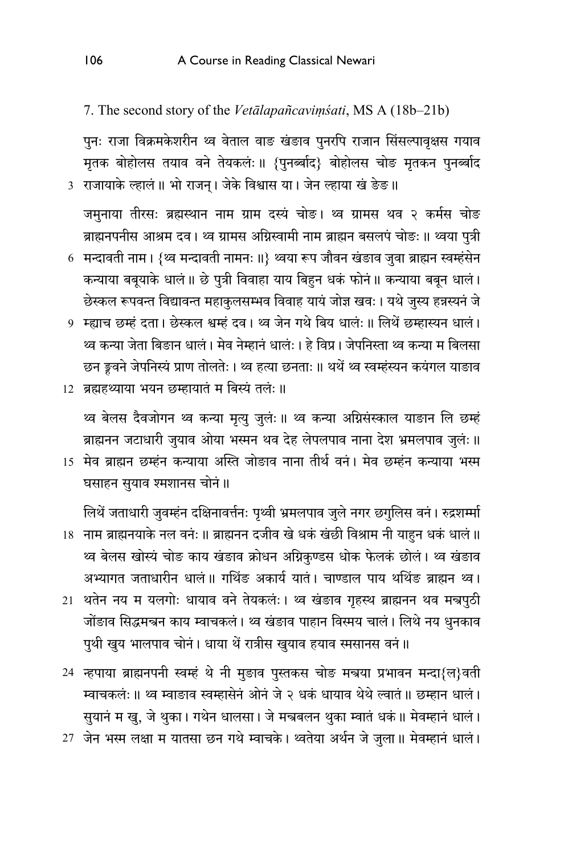7. The second story of the Vetālapañcavimśati, MS A (18b-21b)

पुनः राजा विक्रमकेशरीन थ्व वेताल वाङ खंङाव पुनरपि राजान सिंसल्पावृक्षस गयाव मृतक बोहोलस तयाव वने तेयकलंः॥ {पुनब्बाद} बोहोलस चोङ मृतकन पुनर्ब्बाद 3 राजायाके ल्हालं ॥ भो राजन् । जेके विश्वास या । जेन ल्हाया खं ङेङ ॥

जमुनाया तीरसः ब्रह्मस्थान नाम ग्राम दस्यं चोङ। थ्व ग्रामस थव २ कर्मस चोङ ब्राह्मनपनीस आश्रम दव। थ्व ग्रामस अग्निस्वामी नाम ब्राह्मन बसलपं चोङः ॥ थ्वया पुत्री 6 मन्दावती नाम। {थ्व मन्दावती नामनः॥} थ्वया रूप जौवन खंडाव जुवा ब्राह्मन स्वम्हंसेन कन्याया बबूयाके धालं ॥ छे पुत्री विवाहा याय बिहुन धकं फोनं ॥ कन्याया बबून धालं । छेस्कल रूपवन्त विद्यावन्त महाकुलसम्भव विवाह यायं जोज्ञ खवः । यथे जुस्य हन्नस्यनं जे 9 म्ह्याच छम्हं दता। छेस्कल श्वम्हं दव। थ्व जेन गथे बिय धालंः॥ लिथें छम्हास्यन धालं। थ्व कन्या जेता बिङान धालं। मेव नेम्हानं धालंः। हे विप्र। जेपनिस्ता थ्व कन्या म बिलसा छन ङ्कवने जेपनिस्यं प्राण तोलतेः । थ्व हत्या छनताः ॥ थथें थ्व स्वम्हंस्यन कयंगल याङाव

12 ब्रह्महथ्याया भयन छम्हायातं म बिस्यं तलं: ॥

थ्व बेलस दैवजोगन थ्व कन्या मृत्यु जुलंः ॥ थ्व कन्या अग्निसंस्काल याङान लि छम्हं ब्राह्मनन जटाधारी जुयाव ओया भस्मन थव देह लेपलपाव नाना देश भ्रमलपाव जुलंः ॥

15 मेव ब्राह्मन छम्हंन कन्याया अस्ति जोड़ाव नाना तीर्थ वनं। मेव छम्हंन कन्याया भस्म घसाहन सुयाव श्मशानस चोनं ॥

लिथें जताधारी जुवम्हंन दक्षिनावर्त्तनः पृथ्वी भ्रमलपाव जुले नगर छगुलिस वनं। रुद्रशम्मी 18 नाम ब्राह्मनयाके नल वनंः ॥ ब्राह्मनन दजीव खे धकं खंछी विश्राम नी याहुन धकं धालं ॥ थ्व बेलस खोस्यं चोङ काय खंडाव क्रोधन अग्निकण्डस धोक फेलकं छोलं। थ्व खंडाव अभ्यागत जताधारीन धालं॥ गर्थिङ अकार्य यातं। चाण्डाल पाय थथिंङ ब्राह्मन थ्व। 21 थतेन नय म यलगोः धायाव वने तेयकलंः । थ्व खंडाव गृहस्थ ब्राह्मनन थव मन्नपुठी जोंङाव सिद्धमन्नन काय म्वाचकलं। थ्व खंङाव पाहान विस्मय चालं। लिथे नय धुनकाव पुथी खुय भालपाव चोनं। धाया थें रात्रीस खुयाव हयाव स्मसानस वनं॥

24 न्हपाया ब्राह्मनपनी स्वम्हं थे नी मुङाव पुस्तकस चोङ मन्त्रया प्रभावन मन्दा{ल}वती म्वाचकलंः ॥ थ्व म्वाडाव स्वम्हासेनं ओनं जे २ धकं धायाव थेथे ल्वातं ॥ छम्हान धालं । सुयानं म खु, जे थुका। गथेन धालसा। जे मन्त्रबलन थुका म्वातं धकं॥ मेवम्हानं धालं। 27 जेन भस्म लक्षा म यातसा छन गथे म्वाचके। थ्वतेया अर्थन जे जुला॥ मेवम्हानं धालं।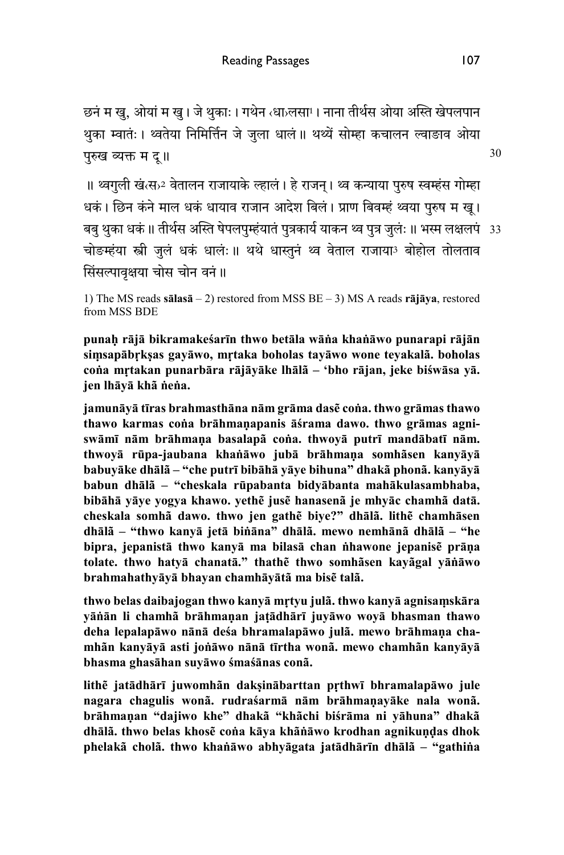छनं म खु, ओयां म खु। जे थुकाः। गथेन ‹धा›लसा<sup>1</sup>। नाना तीर्थस ओया अस्ति खेपलपान थुका म्वातंः। थ्वतेया निमिर्त्तिन जे जुला धालं॥ थथ्यें सोम्हा कचालन ल्वाङाव ओया परुख व्यक्त म दू॥

बबु थुका धकं ॥ तीर्थस अस्ति षेपलपुम्हयातं पुत्रकार्य याकन थ्वं पुत्र जुलः ॥ भस्म लक्षलपः 33 ॥ थ्वगुली खंख्डे वेतालन राजायाके ल्हालं । हे राजन् । थ्व कन्याया पुरुष स्वम्हंस गोम्हा धकं । छिन कंने माल धकं धायाव राजान आदेश बिलं। प्राण बिवम्हं थ्वया पुरुष म खू। चोङम्हंया स्त्री जुलं धकं धालंः॥ थथे धास्तुनं थ्व वेताल राजाया3 बोहोल तोलताव सिसल्पावृक्षया चोस चोन वनं ॥

1) The MS reads **sālasā** – 2) restored from MSS BE – 3) MS A reads **rājāya**, restored from MSS BDE

**punaḥ rājā bikramakeśarīn thwo betāla wāṅa khaṅāwo punarapi rājān siṃsapābṛkṣas gayāwo, mṛtaka boholas tayāwo wone teyakalã. boholas coṅa mṛtakan punarbāra rājāyāke lhālã – 'bho rājan, jeke biśwāsa yā. jen lhāyā khã ṅeṅa.** 

**jamunāyā tīras brahmasthāna nām grāma dasẽ coṅa. thwo grāmas thawo thawo karmas coṅa brāhmaṇapanis āśrama dawo. thwo grāmas agniswāmī nām brāhmaṇa basalapã coṅa. thwoyā putrī mandābatī nām. thwoyā rūpa-jaubana khaṅāwo jubā brāhmaṇa somhãsen kanyāyā babuyāke dhālã – "che putrī bibāhā yāye bihuna" dhakã phonã. kanyāyā babun dhālã – "cheskala rūpabanta bidyābanta mahākulasambhaba, bibāhā yāye yogya khawo. yethẽ jusẽ hanasenã je mhyāc chamhã datā. cheskala somhã dawo. thwo jen gathẽ biye?" dhālã. lithẽ chamhāsen dhālã – "thwo kanyā jetā biṅāna" dhālã. mewo nemhānã dhālã – "he bipra, jepanistā thwo kanyā ma bilasā chan ṅhawone jepanisẽ prāṇa tolate. thwo hatyā chanatā." thathẽ thwo somhãsen kayãgal yāṅāwo brahmahathyāyā bhayan chamhāyātã ma bisẽ talã.** 

**thwo belas daibajogan thwo kanyā mṛtyu julã. thwo kanyā agnisaṃskāra yāṅān li chamhã brāhmaṇan jaṭādhārī juyāwo woyā bhasman thawo deha lepalapāwo nānā deśa bhramalapāwo julã. mewo brāhmaṇa chamhãn kanyāyā asti joṅāwo nānā tīrtha wonã. mewo chamhãn kanyāyā bhasma ghasāhan suyāwo śmaśānas conã.** 

**lithẽ jatādhārī juwomhãn dakṣinābarttan pṛthwī bhramalapāwo jule nagara chagulis wonã. rudraśarmā nām brāhmaṇayāke nala wonã. brāhmaṇan "dajiwo khe" dhakã "khãchi biśrāma ni yāhuna" dhakã dhālã. thwo belas khosẽ coṅa kāya khãṅāwo krodhan agnikuṇḍas dhok phelakã cholã. thwo khaṅāwo abhyāgata jatādhārīn dhālã – "gathiṅa** 

30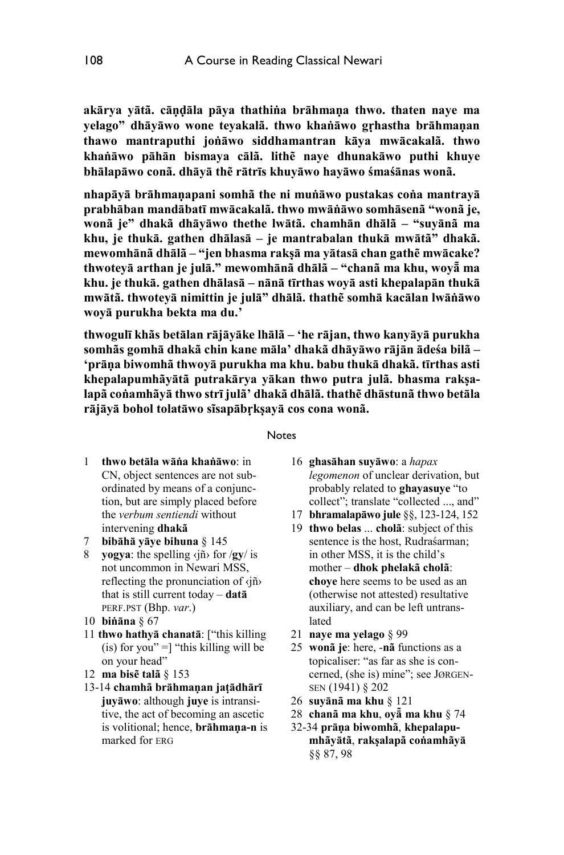**akārya yātã. cāṇḍāla pāya thathiṅa brāhmaṇa thwo. thaten naye ma yelago" dhāyāwo wone teyakalã. thwo khaṅāwo gṛhastha brāhmaṇan thawo mantraputhi joṅāwo siddhamantran kāya mwācakalã. thwo khaṅāwo pāhān bismaya cālã. lithẽ naye dhunakāwo puthi khuye bhālapāwo conã. dhāyā thẽ rātrīs khuyāwo hayāwo śmaśānas wonã.** 

**nhapāyā brāhmaṇapani somhã the ni muṅāwo pustakas coṅa mantrayā prabhāban mandābatī mwācakalã. thwo mwāṅāwo somhāsenã "wonã je, wonã je" dhakã dhāyāwo thethe lwātã. chamhān dhālã – "suyānã ma khu, je thukā. gathen dhālasā – je mantrabalan thukā mwātã" dhakã. mewomhānã dhālã – "jen bhasma rakṣā ma yātasā chan gathẽ mwācake? thwoteyā arthan je julā." mewomhānã dhālã – "chanã ma khu, woyā̃ma khu. je thukā. gathen dhālasā – nānā tīrthas woyā asti khepalapān thukā mwātã. thwoteyā nimittin je julā" dhālã. thathẽ somhā kacālan lwāṅāwo woyā purukha bekta ma du.'** 

**thwogulī khãs betālan rājāyāke lhālã – 'he rājan, thwo kanyāyā purukha somhãs gomhā dhakã chin kane māla' dhakã dhāyāwo rājān ādeśa bilã – 'prāṇa biwomhã thwoyā purukha ma khu. babu thukā dhakã. tīrthas asti khepalapumhãyātã putrakārya yākan thwo putra julã. bhasma rakṣalapã coṅamhãyā thwo strī julã' dhakã dhālã. thathẽ dhāstunã thwo betāla rājāyā bohol tolatāwo sĩsapābṛkṣayā cos cona wonã.** 

#### **Notes**

- 1 **thwo betāla wāṅa khaṅāwo**: in CN, object sentences are not subordinated by means of a conjunction, but are simply placed before the *verbum sentiendi* without intervening **dhakã**
- 7 **bibāhā yāye bihuna** § 145
- 8 **yogya**: the spelling ‹jñ› for /**gy**/ is not uncommon in Newari MSS, reflecting the pronunciation of ‹jñ› that is still current today – **datā** PERF.PST (Bhp. *var*.)
- 10 **biṅāna** § 67
- 11 **thwo hathyā chanatā**: ["this killing (is) for you"  $=$ ] "this killing will be on your head"
- 12 **ma bisẽ talã** § 153
- 13-14 **chamhã brāhmaṇan jaṭādhārī juyāwo**: although **juye** is intransitive, the act of becoming an ascetic is volitional; hence, **brāhmaṇa-n** is marked for ERG
- 16 **ghasāhan suyāwo**: a *hapax legomenon* of unclear derivation, but probably related to **ghayasuye** "to collect"; translate "collected ..., and"
- 17 **bhramalapāwo jule** §§, 123-124, 152
- 19 **thwo belas** ... **cholã**: subject of this sentence is the host, Rudraśarman; in other MSS, it is the child's mother – **dhok phelakã cholã**: **choye** here seems to be used as an (otherwise not attested) resultative auxiliary, and can be left untranslated
- 21 **naye ma yelago** § 99
- 25 **wonã je**: here, -**nã** functions as a topicaliser: "as far as she is concerned, (she is) mine"; see JØRGEN-SEN (1941) § 202
- 26 **suyānã ma khu** § 121
- 28 **chanã ma khu**, **oyā̃ma khu** § 74
- 32-34 **prāṇa biwomhã**, **khepalapumhãyātã**, **rakṣalapã coṅamhãyā** §§ 87, 98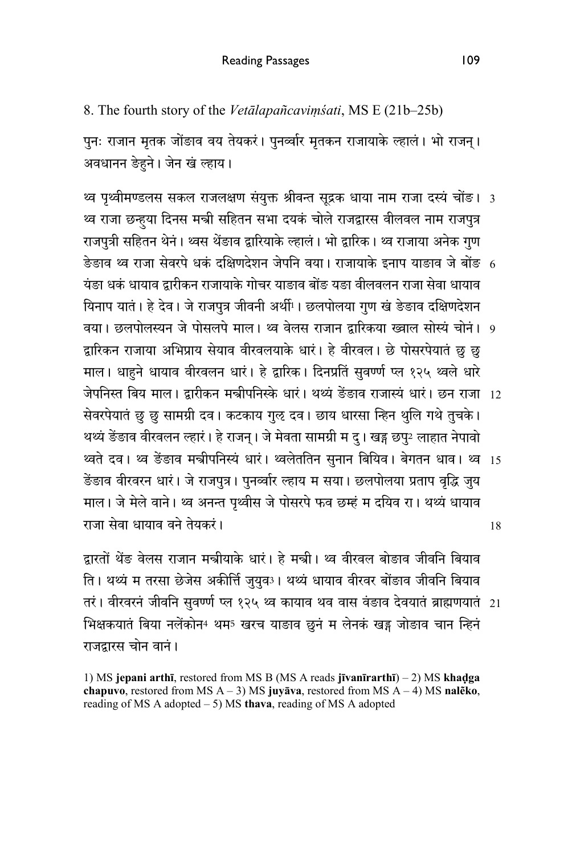8. The fourth story of the *Vetālapañcaviṃśati*, MS E (21b–25b)

पुनः राजान मृतक जोंङाव वय तेयकरं । पुनर्व्वार मृतकन राजायाके ल्हालं । भो राजन । अवधानन ङेहने। जेन खं ल्हाय।

- थ्व पृथ्वीमण्डलस सकल राजलक्षण संयुक्त श्रीवन्त सूद्रक धाया नाम राजा दस्य चोङ। 3 थ्व राजा छन्हुया दिनस मन्त्री सहितन सभा दयक चोले राजद्वारस वीलवल नाम राजपुत्र राजपुत्री सहितन थेनं। थ्वस थेंङाव द्वारियाके ल्हालं। भो द्वारिक। थ्व राजाया अनेक गुण
- ङेङाव थ्व राजा सेवरपे धक दक्षिणदेशन जेपनि वया। राजायाके इनाप याङाव जे बोङ 6 यंङा धकं धायाव दारीकन राजायाकेगोचर याङाव बोंङ यङा वीलवलन राजा सेवा धायाव थिनाप यातं। हे देव। जे राजपुत्र जीवनी अर्थी<sup>1</sup>। छलपोलया गुण खं ङेङाव दक्षिणदेशन
- वया। छलपोलस्यन जे पोसलपे माल। थ्व वेलस राजान द्वारिकया ख्वाल सोस्य चोनं। 9 द्वारिकन राजाया अभिप्राय सेयाव वीरवलयाके धारं। हे वीरवल। छे पोसरपेयातं छु छु माल। धाहने धायाव वीरवलन धारं। हे द्वारिक। दिनप्रतिं सुवर्ण्ण प्ल १२५ थ्वले धारे
- जेपनिस्त बिय माल। द्वारीकन मन्त्रीपनिस्के धारं। थथ्यं ङेङाव राजास्यं धारं। छन राजा 12 सेवरपेयातं छु छु सामग्री दव। कटकाय गुऌ दव। छाय धारसा न्हिन थुलि गथे तुचके । थथ्यं ङेंङाव वीरवलन ल्हारं। हे राजन्। जे मेवता सामग्री म दु। खड्ग छपु2 लाहात नेपावो
- थ्वते दव। थ्वं ङेङाव मन्त्रीपनिस्य धारं। थ्वलेतोतेन सुनान बिर्यिव। बेगतन धाव। थ्वं 15 18 डेंडाव वीरवरन धारं। जे राजपत्र। पुनर्व्वार ल्हाय म सया। छलपोलया प्रताप वृद्धि जुय माल। जे मेले वाने। थ्व अनन्त पृथ्वीस जे पोसरपे फव छम्हं म दयिव रा। थथ्यं धायाव राजा सेवा धायाव वने तेयकरं ।

दारतों थेंङ वेलस राजान मन्त्रीयाके धारं। हे मन्त्री। थ्व वीरवल बोङाव जीवनि बियाव ति। थथ्यं म तरसा छेजेस अकीर्त्ति जयुव3। थथ्यं धायाव वीरवर बोंङाव जीवनि बियाव

तरं । वीरवरनं जीवनिं सुवर्ण्णे प्ल १२५ थ्वं कायाव थव वास वंङाव देवयातं ब्राह्मणयातं 21 भिक्षकयातं बिया नलेंकोन4 थम5 खरच याङाव छुनं म लेनकं खड़ जोङाव चान न्हिनं राजदारस चोन वानं ।

1) MS **jepani arthī**, restored from MS B (MS A reads **jīvanīrarthī**) – 2) MS **khaḍga chapuvo**, restored from MS A – 3) MS **juyāva**, restored from MS A – 4) MS **nalẽko**, reading of MS A adopted – 5) MS **thava**, reading of MS A adopted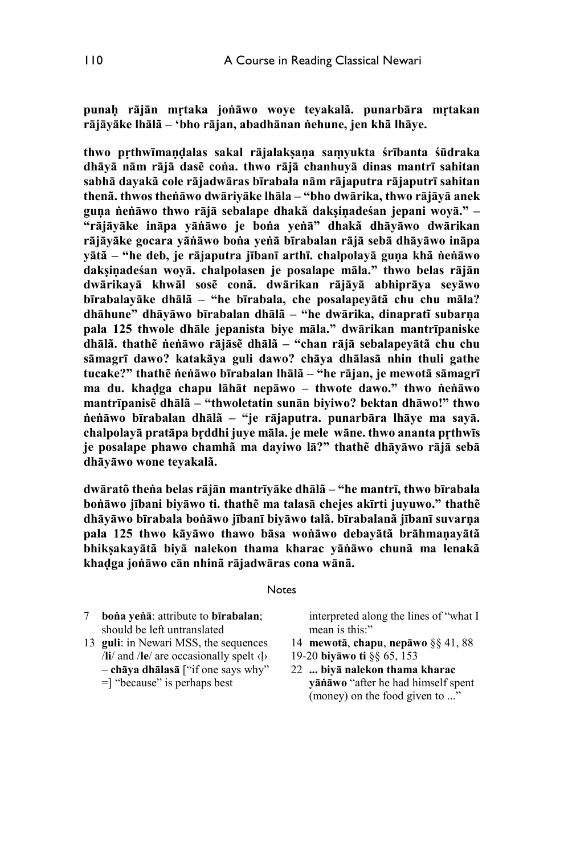**punaḥ rājān mṛtaka joṅāwo woye teyakalã. punarbāra mṛtakan rājāyāke lhālã – 'bho rājan, abadhānan ṅehune, jen khã lhāye.** 

**thwo pṛthwīmaṇḍalas sakal rājalakṣaṇa saṃyukta śrībanta śūdraka dhāyā nām rājā dasẽ coṅa. thwo rājā chanhuyā dinas mantrī sahitan sabhā dayakã cole rājadwāras bīrabala nām rājaputra rājaputrī sahitan thenã. thwos theṅāwo dwāriyāke lhāla – "bho dwārika, thwo rājāyā anek guṇa ṅeṅāwo thwo rājā sebalape dhakã dakṣiṇadeśan jepani woyā." – "rājāyāke ināpa yāṅāwo je boṅa yeṅā" dhakã dhāyāwo dwārikan rājāyāke gocara yāṅāwo boṅa yeṅā bīrabalan rājā sebā dhāyāwo ināpa yātã – "he deb, je rājaputra jībanī arthī. chalpolayā guṇa khã ṅeṅāwo dakṣiṇadeśan woyā. chalpolasen je posalape māla." thwo belas rājān dwārikayā khwāl sosẽ conã. dwārikan rājāyā abhiprāya seyāwo bīrabalayāke dhālã – "he bīrabala, che posalapeyātã chu chu māla? dhāhune" dhāyāwo bīrabalan dhālã – "he dwārika, dinapratĩ subarṇa pala 125 thwole dhāle jepanista biye māla." dwārikan mantrīpaniske dhālã. thathẽ ṅeṅāwo rājāsẽ dhālã – "chan rājā sebalapeyātã chu chu sāmagrī dawo? katakāya guli dawo? chāya dhālasā nhin thuli gathe tucake?" thathẽ ṅeṅāwo bīrabalan lhālã – "he rājan, je mewotā sāmagrī ma du. khaḍga chapu lāhāt nepāwo – thwote dawo." thwo ṅeṅāwo mantrīpanisẽ dhālã – "thwoletatin sunān biyiwo? bektan dhāwo!" thwo ṅeṅāwo bīrabalan dhālã – "je rājaputra. punarbāra lhāye ma sayā. chalpolayā pratāpa bṛddhi juye māla. je mele wāne. thwo ananta pṛthwīs je posalape phawo chamhã ma dayiwo lā?" thathẽ dhāyāwo rājā sebā dhāyāwo wone teyakalã.** 

**dwāratõ theṅa belas rājān mantrīyāke dhālã – "he mantrī, thwo bīrabala boṅāwo jībani biyāwo ti. thathẽ ma talasā chejes akīrti juyuwo." thathẽ dhāyāwo bīrabala boṅāwo jībanī biyāwo talã. bīrabalanã jībanī suvarṇa pala 125 thwo kāyāwo thawo bāsa woṅāwo debayātã brāhmaṇayātã bhikṣakayātã biyā nalekon thama kharac yāṅāwo chunã ma lenakã khaḍga joṅāwo cān nhinã rājadwāras cona wānã.** 

#### **Notes**

- 7 **boṅa yeṅā**: attribute to **bīrabalan**; should be left untranslated
- 13 **guli**: in Newari MSS, the sequences /**li**/ and /**le**/ are occasionally spelt ‹ḷ› – **chāya dhālasā** ["if one says why" =] "because" is perhaps best
- interpreted along the lines of "what I mean is this:"
- 14 **mewotā**, **chapu**, **nepāwo** §§ 41, 88
- 19-20 **biyāwo ti** §§ 65, 153
- 22 **... biyā nalekon thama kharac yāṅāwo** "after he had himself spent (money) on the food given to ..."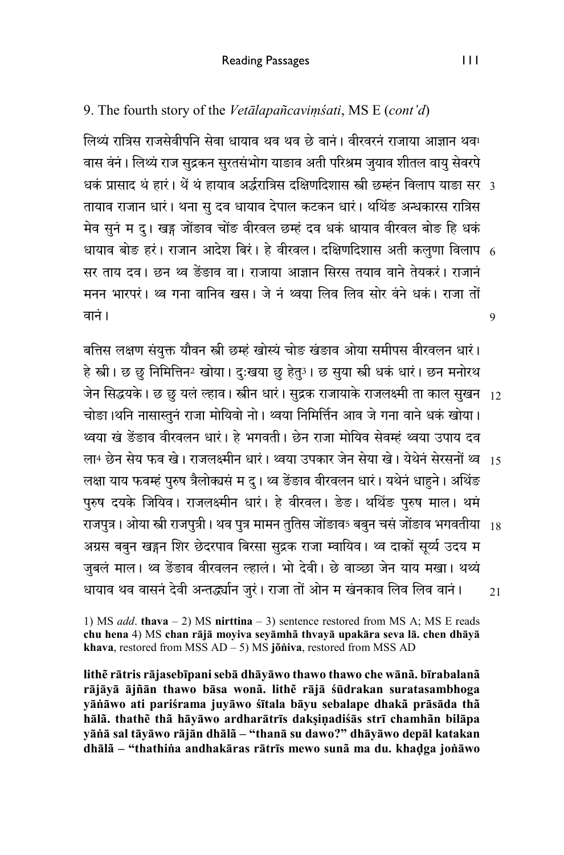9. The fourth story of the *Vetālapañcaviṃśati*, MS E (*cont'd*)

धकं प्रासाद थे हारे। थे थे हायाव अद्धरात्रिस दक्षिणदिशास स्त्री छम्हन विलाप याङा सरे 3 धायाव बोङ हरं। राजान आदेश बिरं। हे वीरवले। दक्षिणदिशास अती कलुणा विलाप -6 9 लिथ्यं रात्रिस राजसेवीपनि सेवा धायाव थव थव छे वानं। वीरवरनं राजाया आज्ञान थव! वास वंनं। लिथ्यं राज सुद्रकन सुरतसंभोग याङाव अती परिश्रम जुयाव शीतल वायु सेवरपे तायाव राजान धारं। थना सु दव धायाव देपाल कटकन धारं। थर्थिङ अन्धकारस रात्रिस मेव सुनं म दु। खड्ग जोंङाव चोंङ वीरवल छम्हं दव धकं धायाव वीरवल बोङ हि धकं सर ताय दव। छन थ्व ङेंङाव वा। राजाया आज्ञान सिरस तयाव वाने तेयकरं। राजानं मनन भारपरं। थ्व गना वानिव खस। जे नं थ्वया लिव लिव सोर वंने धकं। राजा तों רंवान

बत्तिस लक्षण संयुक्त यौवन स्त्री छम्हं खोस्यं चोङ खंडाव ओया समीपस वीरवलन धारं। हे स्त्री। छ छु निमित्तिन2 खोया। दु:खया छु हेतु3। छ सुया स्त्री धकं धारं। छन मनोरथ

- जेन सिद्धयके। छ छु यलं ल्हाव। स्त्रीन धारं। सुद्रक राजायाके राजलक्ष्मी ता काल सुखन 12 चोङा।थनि नासास्तुनं राजा मोयिवो नो। थ्वया निमिर्त्तिन आव जे गना वाने धकं खोया। थ्वया खं ङेंङाव वीरवलन धारं। हे भगवती। छेन राजा मोयिव सेवम्हं थ्वया उपाय दव
- ला4 छेन सेय फव खें। राजलक्ष्मीन धारं । थ्वया उपकार जेन सेया खें । येथेन सेरसनों थ्वं <sub>15</sub> लक्षा याय फवम्हं पुरुष त्रैलोक्यसं म द् । थ्व ङेंङाव वीरवलन धारं । यथेनं धाहने । अथिंङ लक्षा याय फवम्हं पुरुष त्रैलोक्यस म दु। थ्व ङंङाव वीरवलन धारं। यथेनं धाहुने। अथिङ<br>पुरुष दयके जियिव। राजलक्ष्मीन धारं। हे वीरवल। ङेङ। थथिंङ पुरुष माल। थमं
- राजपुत्र । ओया स्त्री राजपुत्री । थव पुत्र मामन तुर्तिस जोङाव5 बबुन चस जोङाव भगवतीया  $_{\rm 18}$ अग्रस बबुन खड्गन शिर छेदरपाव बिरसा सुद्रक राजा म्वायिव। थ्व दाकों सूर्य्य उदय म जुबलं माल। थ्व डेंडाव वीरवलन ल्हालं। भो देवी। छे वाञ्छा जेन याय मखा। थथ्यं
- 21 धायाव थव वासनं देवी अन्तद्ध्यान जुरं। राजा तों ओन म खंनकाव लिव लिव वानं।

1) MS *add*. **thava** – 2) MS **nirttina** – 3) sentence restored from MS A; MS E reads **chu hena** 4) MS **chan rājā moyiva seyāmhã thvayā upakāra seva lā. chen dhāyā khava**, restored from MSS AD – 5) MS **jõṅiva**, restored from MSS AD

**lithẽ rātris rājasebīpani sebā dhāyāwo thawo thawo che wānã. bīrabalanã rājāyā ājñān thawo bāsa wonã. lithẽ rājā śūdrakan suratasambhoga yāṅāwo ati pariśrama juyāwo śītala bāyu sebalape dhakã prāsāda thã hālã. thathẽ thã hāyāwo ardharātrīs dakṣiṇadiśās strī chamhãn bilāpa yāṅā sal tāyāwo rājān dhālã – "thanā su dawo?" dhāyāwo depāl katakan dhālã – "thathiṅa andhakāras rātrīs mewo sunã ma du. khaḍga joṅāwo**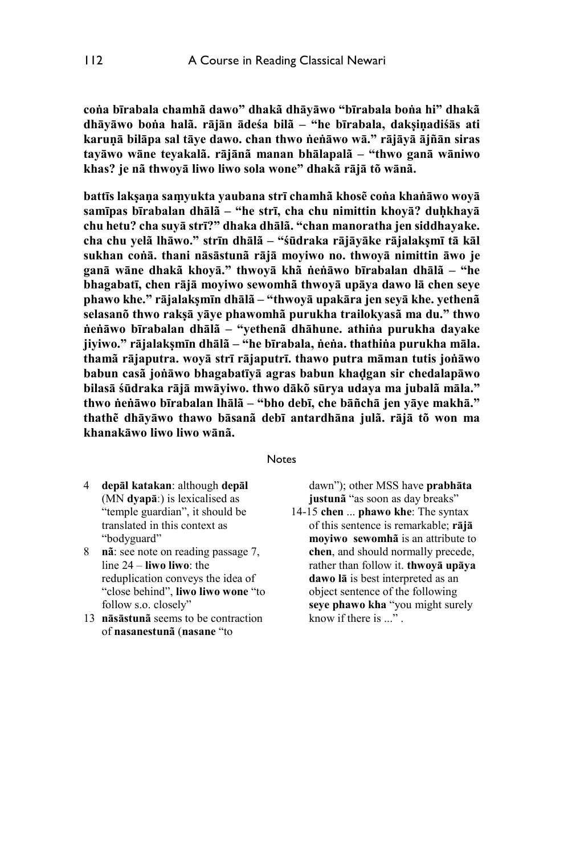**coṅa bīrabala chamhã dawo" dhakã dhāyāwo "bīrabala boṅa hi" dhakã dhāyāwo boṅa halã. rājān ādeśa bilã – "he bīrabala, dakṣiṇadiśās ati karuṇā bilāpa sal tāye dawo. chan thwo ṅeṅāwo wā." rājāyā ājñān siras tayāwo wāne teyakalã. rājānã manan bhālapalã – "thwo ganā wāniwo khas? je nã thwoyā liwo liwo sola wone" dhakã rājā tõ wānã.** 

**battīs lakṣaṇa saṃyukta yaubana strī chamhã khosẽ coṅa khaṅāwo woyā samīpas bīrabalan dhālã – "he strī, cha chu nimittin khoyā? duḥkhayā chu hetu? cha suyā strī?" dhaka dhālã. "chan manoratha jen siddhayake. cha chu yelã lhāwo." strīn dhālã – "śūdraka rājāyāke rājalakṣmī tā kāl sukhan coṅā. thani nāsāstunã rājā moyiwo no. thwoyā nimittin āwo je ganā wāne dhakã khoyā." thwoyā khã ṅeṅāwo bīrabalan dhālã – "he bhagabatī, chen rājā moyiwo sewomhã thwoyā upāya dawo lā chen seye phawo khe." rājalakṣmīn dhālã – "thwoyā upakāra jen seyā khe. yethenã selasanõ thwo rakṣā yāye phawomhã purukha trailokyasã ma du." thwo ṅeṅāwo bīrabalan dhālã – "yethenã dhāhune. athiṅa purukha dayake jiyiwo." rājalakṣmīn dhālã – "he bīrabala, ṅeṅa. thathiṅa purukha māla. thamã rājaputra. woyā strī rājaputrī. thawo putra māman tutis joṅāwo babun casã joṅāwo bhagabatīyā agras babun khaḍgan sir chedalapāwo bilasā śūdraka rājā mwāyiwo. thwo dākõ sūrya udaya ma jubalã māla." thwo ṅeṅāwo bīrabalan lhālã – "bho debī, che bāñchā jen yāye makhā." thathẽ dhāyāwo thawo bāsanã debī antardhāna julã. rājā tõ won ma khanakāwo liwo liwo wānã.** 

#### **Notes**

- 4 **depāl katakan**: although **depāl** (MN **dyapāː**) is lexicalised as "temple guardian", it should be translated in this context as "bodyguard"
- 8 **nã**: see note on reading passage 7, line 24 – **liwo liwo**: the reduplication conveys the idea of "close behind", **liwo liwo wone** "to follow s.o. closely"
- 13 **nāsāstunã** seems to be contraction of **nasanestunã** (**nasane** "to

dawn"); other MSS have **prabhāta justunã** "as soon as day breaks"

14-15 **chen** ... **phawo khe**: The syntax of this sentence is remarkable; **rājā moyiwo sewomhã** is an attribute to **chen**, and should normally precede, rather than follow it. **thwoyā upāya dawo lā** is best interpreted as an object sentence of the following **seye phawo kha** "you might surely know if there is ..." .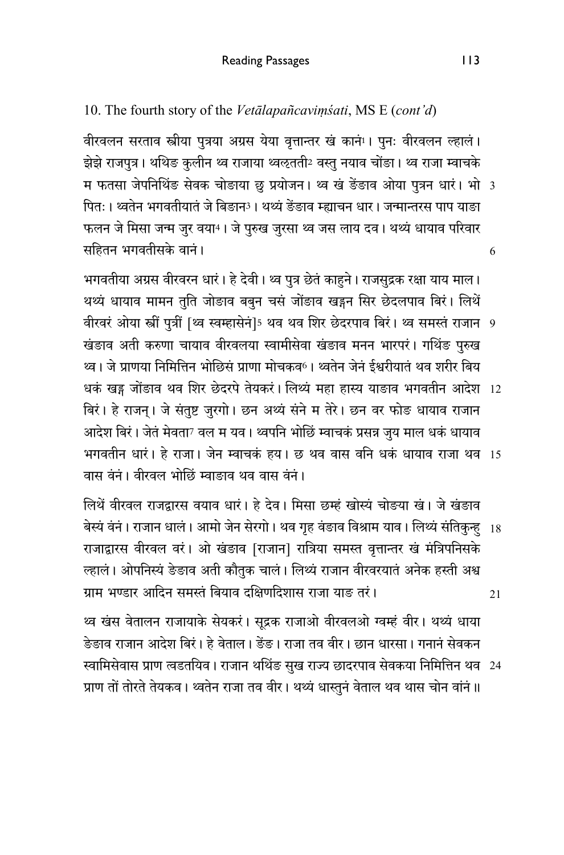10. The fourth story of the *Vetālapañcaviṃśati*, MS E (*cont'd*)

म फतसा जेपनिथिङ सेवक चोङाया छु प्रयोजन। थ्व खं ङैङाव ओया पुत्रन धारं। भो 3 6 वीरवलन सरताव स्त्रीया पुत्रया अग्रस येया वृत्तान्तर खं कानं । पुनः वीरवलन ल्हालं । झेझे राजपुत्र। थथिङ कुलीन थ्व राजाया थ्वऌतती2 वस्तु नयाव चोंङा। थ्व राजा म्वाचके पितः । थ्वतेन भगवतीयातं जे बिङान<sup>3</sup> । थथ्यं ङेंङाव म्ह्याचन धार । जन्मान्तरस पाप याङा फलन जे मिसा जन्म जुर वया4। जे पुरुख जुरसा थ्व जस लाय दव। थथ्यं धायाव परिवार सहितन भगवतीसके वानं ।

वीरवरं ओया स्त्री पुत्री [थ्व स्वम्हासेन]5 थव थव शिर छेदरपाव बिरं। थ्व समस्त राजान 9 धकं खड्ग जोंङाव थव शिर छेदरपे तेयकरं। लिथ्य महा हास्य याङाव भगवतीन आदेश 12 भगवतीन धारं। हे राजा। जेन म्वाचकं हय। छ थव वास वनि धकं धायाव राजा थव 15 भगवतीया अग्रस वीरवरन धारं। हे देवी। थ्व पुत्र छेतं काहुने। राजसुद्रक रक्षा याय माल। थथ्यं धायाव मामन तुति जोङाव बबुन चसं जोंङाव खड्गन सिर छेदलपाव बिरं। लिथें खंडाव अती करुणा चायाव वीरवलया स्वामीसेवा खंडाव मनन भारपरं। गथिङ पुरुख थ्व। जे प्राणया निमित्तिन भोछिसं प्राणा मोचकव<sup>6</sup>। थ्वतेन जेनं ईश्वरीयातं थव शरीर बिय बिरं। हे राजन्। जे संतुष्ट जुरगो। छन अथ्यं संने म तेरे। छन वर फोङ धायाव राजान आदेश बिरं। जेतं मेवता<sup>7</sup> वल म यव। थ्वपनि भोछिं म्वाचकं प्रसन्न जुय माल धकं धायाव

वास वंनं। वीरवल भोछिं म्वाङाव थव वास वंनं।

बेस्य वेनं । राजान धालं । आमो जेन सेरगो । थव गृह वंङाव विश्राम याव । लिथ्यं संतिकुन्हु 18 21 लिथें वीरवल राजद्वारस वयाव धारं। हे देव। मिसा छम्हं खोस्यं चोङया खं। जे खंडाव राजाद्वारस वीरवल वरं। ओ खंडाव [राजान] रात्रिया समस्त वृत्तान्तर खं मंत्रिपनिसके ल्हालं। ओपनिस्यं ङेङाव अती कौतुक चालं। लिथ्यं राजान वीरवरयातं अनेक हस्ती अश्व ग्राम भण्डार आदिन समस्तं बियाव दक्षिणदिशास राजा याङ तरं।

थ्व खंस वेतालन राजायाके सेयकरं। सूद्रक राजाओ वीरवलओ ग्वम्हं वीर। थथ्यं धाया डेङाव राजान आदेश बिरं। हे वेताल। ङेंङ। राजा तव वीर। छान धारसा। गनानं सेवकन

स्वामिसेवास प्राण त्वडर्तायेव । राजान थर्थिङ सुख राज्य छादरपाव सेवकया निर्मित्तिन थव 24 प्राण तों तोरते तेयकव। थ्वतेन राजा तव वीर। थथ्यं धास्तुनं वेताल थव थास चोन वांनं॥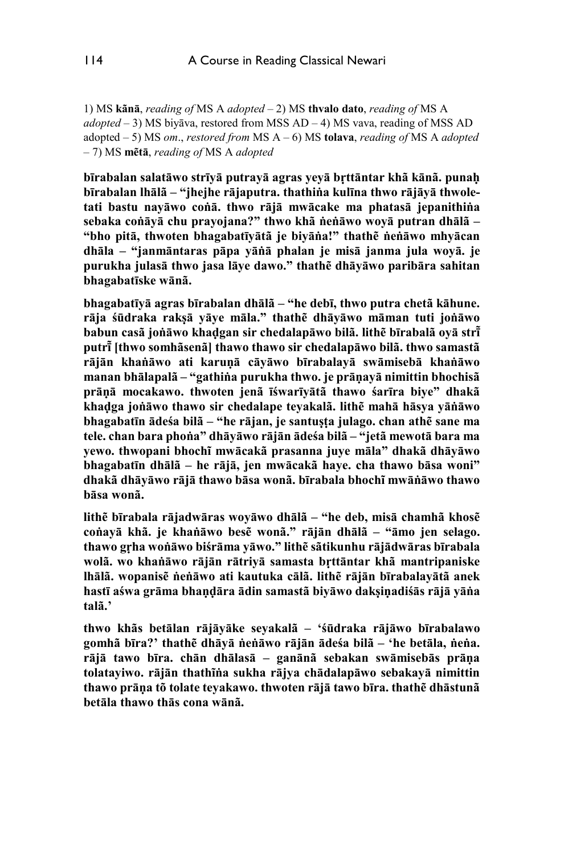1) MS **kãnā**, *reading of* MS A *adopted* – 2) MS **thvalo dato**, *reading of* MS A *adopted* – 3) MS biyāva, restored from MSS AD – 4) MS vava, reading of MSS AD adopted – 5) MS *om*., *restored from* MS A – 6) MS **tolava**, *reading of* MS A *adopted* – 7) MS **mẽtā**, *reading of* MS A *adopted*

**bīrabalan salatāwo strīyā putrayā agras yeyā bṛttāntar khã kānã. punaḥ bīrabalan lhālã – "jhejhe rājaputra. thathiṅa kulīna thwo rājāyā thwoletati bastu nayāwo coṅā. thwo rājā mwācake ma phatasā jepanithiṅa sebaka coṅāyā chu prayojana?" thwo khã ṅeṅāwo woyā putran dhālã – "bho pitā, thwoten bhagabatīyātã je biyāṅa!" thathẽ ṅeṅāwo mhyācan dhāla – "janmāntaras pāpa yāṅā phalan je misā janma jula woyā. je purukha julasā thwo jasa lāye dawo." thathẽ dhāyāwo paribāra sahitan bhagabatīske wānã.** 

**bhagabatīyā agras bīrabalan dhālã – "he debī, thwo putra chetã kāhune. rāja śūdraka rakṣā yāye māla." thathẽ dhāyāwo māman tuti joṅāwo babun casã joṅāwo khaḍgan sir chedalapāwo bilã. lithẽ bīrabalã oyā strī̃ putrī̃[thwo somhãsenã] thawo thawo sir chedalapāwo bilã. thwo samastã rājān khaṅāwo ati karuṇā cāyāwo bīrabalayā swāmisebā khaṅāwo manan bhālapalã – "gathiṅa purukha thwo. je prāṇayā nimittin bhochisã prāṇā mocakawo. thwoten jenã īśwarīyātã thawo śarīra biye" dhakã khaḍga joṅāwo thawo sir chedalape teyakalã. lithẽ mahā hāsya yāṅāwo bhagabatīn ādeśa bilã – "he rājan, je santuṣṭa julago. chan athẽ sane ma tele. chan bara phoṅa" dhāyāwo rājān ādeśa bilã – "jetã mewotā bara ma yewo. thwopani bhochĩ mwācakã prasanna juye māla" dhakã dhāyāwo bhagabatīn dhālã – he rājā, jen mwācakã haye. cha thawo bāsa woni" dhakã dhāyāwo rājā thawo bāsa wonã. bīrabala bhochĩ mwāṅāwo thawo bāsa wonã.** 

**lithẽ bīrabala rājadwāras woyāwo dhālã – "he deb, misā chamhã khosẽ coṅayā khã. je khaṅāwo besẽ wonã." rājān dhālã – "āmo jen selago. thawo gṛha woṅāwo biśrāma yāwo." lithẽ sãtikunhu rājādwāras bīrabala wolã. wo khaṅāwo rājān rātriyā samasta bṛttāntar khã mantripaniske lhālã. wopanisẽ ṅeṅāwo ati kautuka cālã. lithẽ rājān bīrabalayātã anek hastī aśwa grāma bhaṇḍāra ādin samastã biyāwo dakṣiṇadiśās rājā yāṅa talã.'** 

**thwo khãs betālan rājāyāke seyakalã – 'śūdraka rājāwo bīrabalawo gomhã bīra?' thathẽ dhāyā ṅeṅāwo rājān ādeśa bilã – 'he betāla, ṅeṅa. rājā tawo bīra. chān dhālasā – ganānã sebakan swāmisebās prāṇa tolatayiwo. rājān thathĩṅa sukha rājya chādalapāwo sebakayā nimittin thawo prāṇa tõ tolate teyakawo. thwoten rājā tawo bīra. thathẽ dhāstunã betāla thawo thās cona wānã.**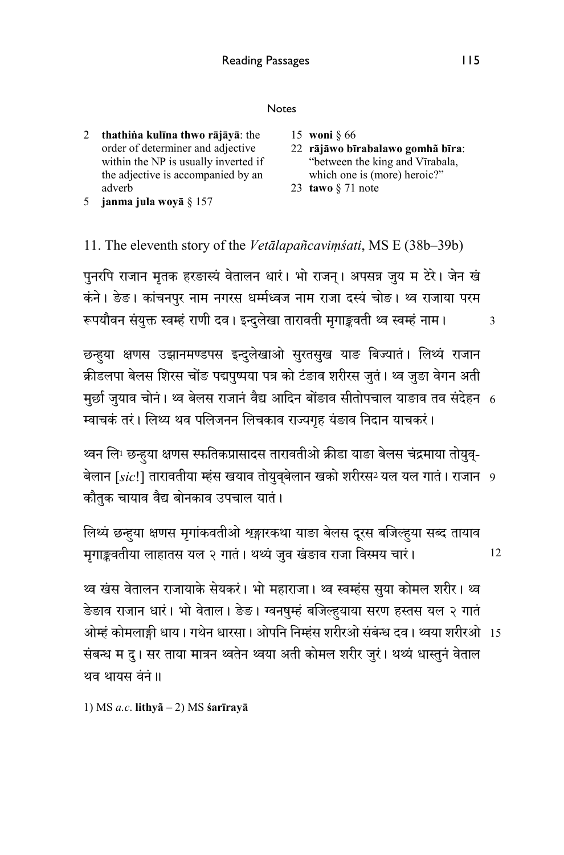### Notes

- 2 **thathiṅa kulīna thwo rājāyā**: the order of determiner and adjective within the NP is usually inverted if the adjective is accompanied by an adverb 5 **janma jula woyā** § 157
- 15 **woni** § 66
- 22 **rājāwo bīrabalawo gomhã bīra**: "between the king and Vīrabala, which one is (more) heroic?"
- 23 **tawo** § 71 note

## 11. The eleventh story of the *Vetālapañcaviṃśati*, MS E (38b–39b)

पुनरपि राजान मृतक हरङास्यं वेतालन धारं। भो राजन्। अपसन्न जुय म टेरे। जेन खं कंने। ङेङ। कांचनपुर नाम नगरस धर्म्मध्वज नाम राजा दस्यं चोङ। थ्व राजाया परम रूपयौवन संयुक्त स्वम्हं राणी दव। इन्दुलेखा तारावती मृगाङ्कवती थ्व स्वम्हं नाम।

मुछो जुयाव चोनं। थ्व बेलस राजानं वैद्य आदिन बोंङाव सीतोपचाल याङाव तव संदेहन 6 छन्हुया क्षणस उझानमण्डपस इन्दुलेखाओ सुरतसुख याङ बिज्यात। लिथ्य राजान क्रीडलपा बेलस शिरस चोंङ पद्मपष्पया पत्र को टंङाव शरीरस जतं। थ्व जङा वेगन अती म्वाचकं तरं। लिथ्य थव पलिजनन लिचकाव राज्यगृह यंङाव निदान याचकरं।

बेलान [*sic*!] तारावतीया म्हंस खयाव तोयुव्बेलान खको शरीरस2 यल यल गातं । राजान 9 थ्वन लिं! छन्हुया क्षणस स्फतिकप्रासादस तारावतीओ क्रीडा याङा बेलस चंद्रमाया तोयुव्-कौतुक चायाव वैद्य बोनकाव उपचाल यातं।

12 लिथ्य छन्हुया क्षणस मृगांकवतीओ शृङ्गारकथा याङा बेलस दूरस बर्जिल्हुया सब्द तायाव मृगाङ्कवतीया लाहातस यल २ गातं। थथ्यं जुव खंडाव राजा विस्मय चारं।

ओम्हं कोमलाङ्गी धाय। गर्थन धारसा। ओपनि निम्हंस शरीरओ संबन्ध दव। थ्वया शरीरओ -15 थ्व खंस वेतालन राजायाके सेयकरं। भो महाराजा। थ्व स्वम्हंस सुया कोमल शरीर। थ्व ङेङाव राजान धारं। भो वेताल। ङेङ। ग्वनषुम्हं बजिल्हुयाया सरण हस्तस यल २ गातं संबन्ध म दु। सर ताया मात्रन थ्वतेन थ्वया अती कोमल शरीर जुरं। थथ्यं धास्तुनं वेताल थव थायस वंनं ॥

1) MS *a.c*. **lithyã** – 2) MS **śarīrayā**

3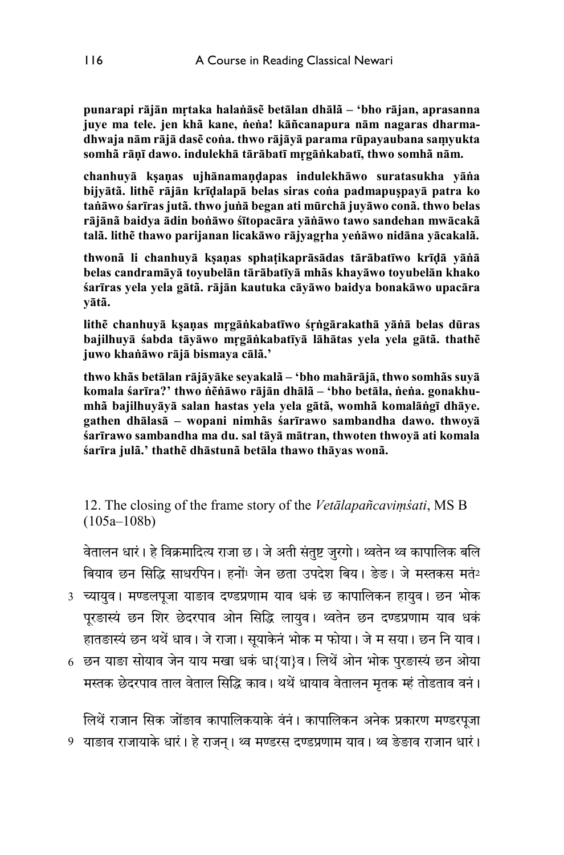**punarapi rājān mṛtaka halaṅāsẽ betālan dhālã – 'bho rājan, aprasanna juye ma tele. jen khã kane, ṅeṅa! kāñcanapura nām nagaras dharmadhwaja nām rājā dasẽ coṅa. thwo rājāyā parama rūpayaubana saṃyukta somhã rāṇī dawo. indulekhā tārābatī mṛgāṅkabatī, thwo somhã nām.** 

**chanhuyā kṣaṇas ujhānamaṇḍapas indulekhāwo suratasukha yāṅa bijyātã. lithẽ rājān krīḍalapā belas siras coṅa padmapuṣpayā patra ko taṅāwo śarīras jutã. thwo juṅā began ati mūrchā juyāwo conã. thwo belas rājānã baidya ādin boṅāwo śītopacāra yāṅāwo tawo sandehan mwācakã talã. lithẽ thawo parijanan licakāwo rājyagṛha yeṅāwo nidāna yācakalã.** 

**thwonã li chanhuyā kṣaṇas sphaṭikaprāsādas tārābatīwo krīḍā yāṅā belas candramāyā toyubelān tārābatīyā mhãs khayāwo toyubelān khako śarīras yela yela gātã. rājān kautuka cāyāwo baidya bonakāwo upacāra yātã.** 

**lithẽ chanhuyā kṣaṇas mṛgāṅkabatīwo śṛṅgārakathā yāṅā belas dūras bajilhuyā śabda tāyāwo mṛgāṅkabatīyā lāhātas yela yela gātã. thathẽ juwo khaṅāwo rājā bismaya cālã.'** 

**thwo khãs betālan rājāyāke seyakalã – 'bho mahārājā, thwo somhãs suyā komala śarīra?' thwo ṅẽṅāwo rājān dhālã – 'bho betāla, ṅeṅa. gonakhumhã bajilhuyāyā salan hastas yela yela gātã, womhã komalāṅgī dhāye. gathen dhālasā – wopani nimhãs śarīrawo sambandha dawo. thwoyā śarīrawo sambandha ma du. sal tāyā mātran, thwoten thwoyā ati komala śarīra julã.' thathẽ dhāstunã betāla thawo thāyas wonã.** 

12. The closing of the frame story of the *Vetālapañcaviṃśati*, MS B (105a–108b)

वेतालन धारं। हे विक्रमादित्य राजा छ। जे अती संतुष्ट जुरगो। थ्वतेन थ्व कापालिक बलि बियाव छन सिद्धि साधरपिन। हनों<sup>1</sup> जेन छता उपदेश बिय। ङेङ। जे मस्तकस मतं<sup>2</sup>

- 3 च्यायुव। मण्डलपूजा याङाव दण्डप्रणाम याव धकं छ कापालिकन हायुव। छन भोक पुरङास्यं छन शिर छेदरपाव ओन सिद्धि लायुव। थ्वतेन छन दण्डप्रणाम याव धकं हातङास्यं छन थथें धाव। जे राजा। सुयाकेनं भोक म फोया। जे म सया। छन नि याव।
- 6 छन याङा सोयाव जेन याय मखा धकं धा{या}व । लिथें ओन भोक पुरङास्यं छन ओया मस्तक छेदरपाव ताल वेताल सिद्धि काव। थथें धायाव वेतालन मृतक म्हं तोडताव वनं।

9 याङाव राजायाके धारं । हे राजन् । थ्व मण्डरस दण्डप्रणाम याव । थ्व ङेङाव राजान धारं । लिथें राजान सिक जोंङाव कापालिकयाके वंनं। कापालिकन अनेक प्रकारण मण्डरपजा